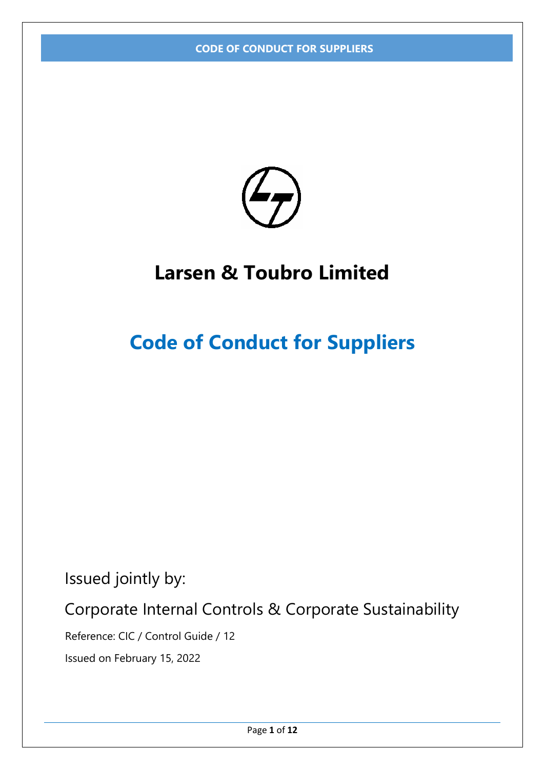

## **Larsen & Toubro Limited**

# **Code of Conduct for Suppliers**

Issued jointly by:

Corporate Internal Controls & Corporate Sustainability

Reference: CIC / Control Guide / 12

Issued on February 15, 2022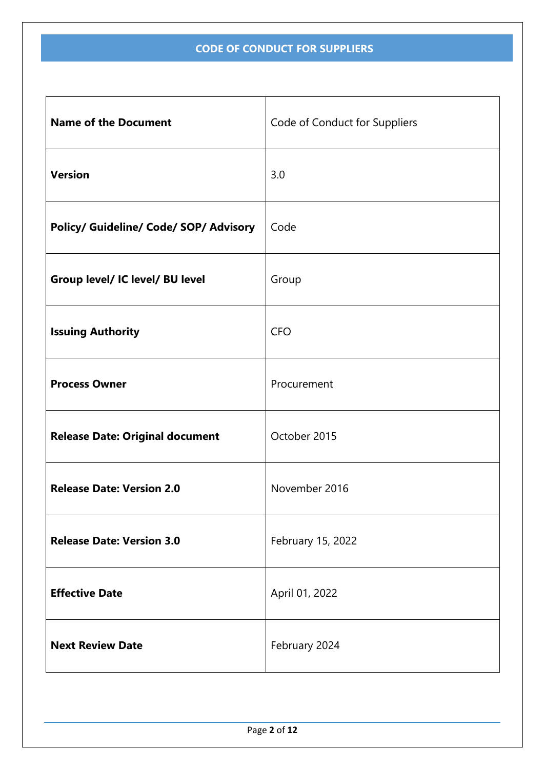| <b>Name of the Document</b>            | Code of Conduct for Suppliers |
|----------------------------------------|-------------------------------|
| <b>Version</b>                         | 3.0                           |
| Policy/ Guideline/ Code/ SOP/ Advisory | Code                          |
| Group level/ IC level/ BU level        | Group                         |
| <b>Issuing Authority</b>               | <b>CFO</b>                    |
| <b>Process Owner</b>                   | Procurement                   |
| <b>Release Date: Original document</b> | October 2015                  |
| <b>Release Date: Version 2.0</b>       | November 2016                 |
| <b>Release Date: Version 3.0</b>       | February 15, 2022             |
| <b>Effective Date</b>                  | April 01, 2022                |
| <b>Next Review Date</b>                | February 2024                 |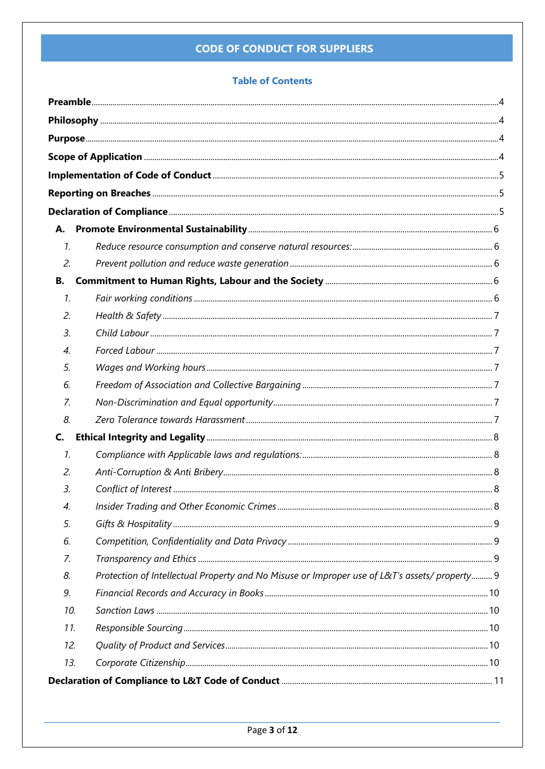## **Table of Contents**

| $\mathcal{I}$ .  |                                                                                              |  |
|------------------|----------------------------------------------------------------------------------------------|--|
| 2.               |                                                                                              |  |
| В.               |                                                                                              |  |
| $\mathcal{I}$ .  |                                                                                              |  |
| 2.               |                                                                                              |  |
| 3.               |                                                                                              |  |
| $\overline{4}$ . |                                                                                              |  |
| 5.               |                                                                                              |  |
| 6.               |                                                                                              |  |
| 7.               |                                                                                              |  |
| 8.               |                                                                                              |  |
| C.               |                                                                                              |  |
| $\mathcal{I}$ .  |                                                                                              |  |
| 2.               |                                                                                              |  |
| 3.               |                                                                                              |  |
| 4.               |                                                                                              |  |
| 5.               |                                                                                              |  |
| 6.               |                                                                                              |  |
| 7.               |                                                                                              |  |
| 8.               | Protection of Intellectual Property and No Misuse or Improper use of L&T's assets/property 9 |  |
| 9.               |                                                                                              |  |
| 10.              |                                                                                              |  |
| 11.              |                                                                                              |  |
| 12.              |                                                                                              |  |
| 13.              |                                                                                              |  |
|                  |                                                                                              |  |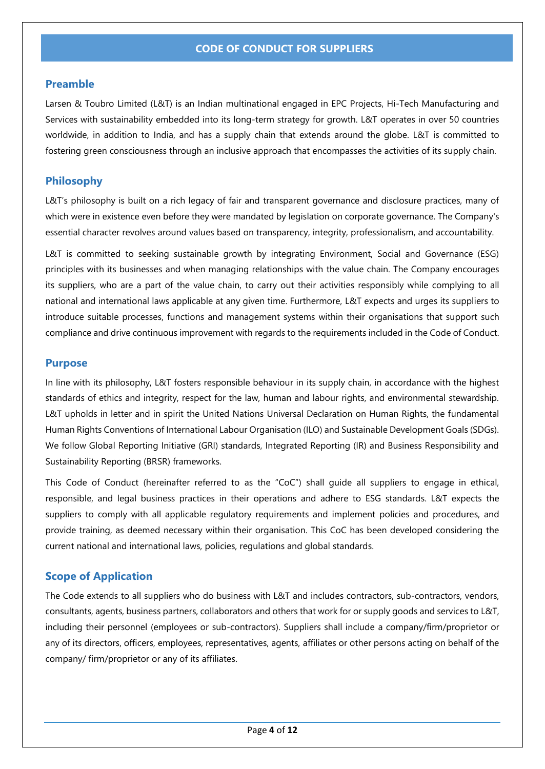## <span id="page-3-0"></span>**Preamble**

Larsen & Toubro Limited (L&T) is an Indian multinational engaged in EPC Projects, Hi-Tech Manufacturing and Services with sustainability embedded into its long-term strategy for growth. L&T operates in over 50 countries worldwide, in addition to India, and has a supply chain that extends around the globe. L&T is committed to fostering green consciousness through an inclusive approach that encompasses the activities of its supply chain.

## <span id="page-3-1"></span>**Philosophy**

L&T's philosophy is built on a rich legacy of fair and transparent governance and disclosure practices, many of which were in existence even before they were mandated by legislation on corporate governance. The Company's essential character revolves around values based on transparency, integrity, professionalism, and accountability.

L&T is committed to seeking sustainable growth by integrating Environment, Social and Governance (ESG) principles with its businesses and when managing relationships with the value chain. The Company encourages its suppliers, who are a part of the value chain, to carry out their activities responsibly while complying to all national and international laws applicable at any given time. Furthermore, L&T expects and urges its suppliers to introduce suitable processes, functions and management systems within their organisations that support such compliance and drive continuous improvement with regards to the requirements included in the Code of Conduct.

### <span id="page-3-2"></span>**Purpose**

In line with its philosophy, L&T fosters responsible behaviour in its supply chain, in accordance with the highest standards of ethics and integrity, respect for the law, human and labour rights, and environmental stewardship. L&T upholds in letter and in spirit the United Nations Universal Declaration on Human Rights, the fundamental Human Rights Conventions of International Labour Organisation (ILO) and Sustainable Development Goals (SDGs). We follow Global Reporting Initiative (GRI) standards, Integrated Reporting (IR) and Business Responsibility and Sustainability Reporting (BRSR) frameworks.

This Code of Conduct (hereinafter referred to as the "CoC") shall guide all suppliers to engage in ethical, responsible, and legal business practices in their operations and adhere to ESG standards. L&T expects the suppliers to comply with all applicable regulatory requirements and implement policies and procedures, and provide training, as deemed necessary within their organisation. This CoC has been developed considering the current national and international laws, policies, regulations and global standards.

## <span id="page-3-3"></span>**Scope of Application**

The Code extends to all suppliers who do business with L&T and includes contractors, sub-contractors, vendors, consultants, agents, business partners, collaborators and others that work for or supply goods and services to L&T, including their personnel (employees or sub-contractors). Suppliers shall include a company/firm/proprietor or any of its directors, officers, employees, representatives, agents, affiliates or other persons acting on behalf of the company/ firm/proprietor or any of its affiliates.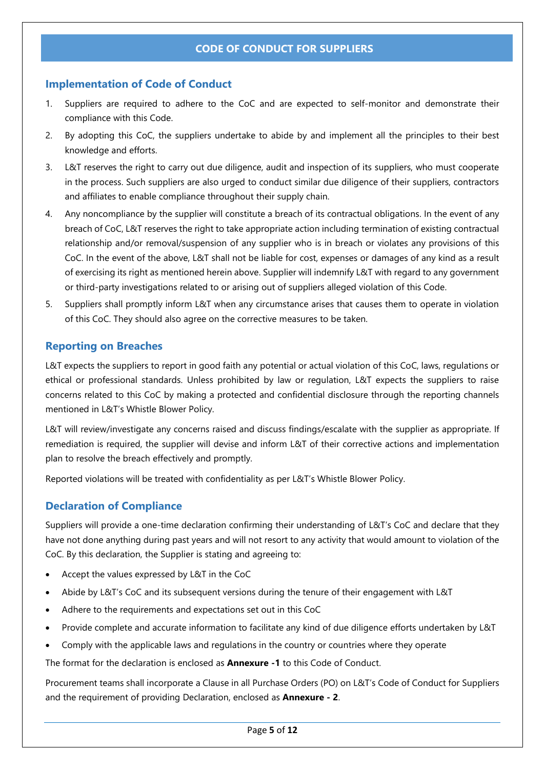## <span id="page-4-0"></span>**Implementation of Code of Conduct**

- 1. Suppliers are required to adhere to the CoC and are expected to self-monitor and demonstrate their compliance with this Code.
- 2. By adopting this CoC, the suppliers undertake to abide by and implement all the principles to their best knowledge and efforts.
- 3. L&T reserves the right to carry out due diligence, audit and inspection of its suppliers, who must cooperate in the process. Such suppliers are also urged to conduct similar due diligence of their suppliers, contractors and affiliates to enable compliance throughout their supply chain.
- 4. Any noncompliance by the supplier will constitute a breach of its contractual obligations. In the event of any breach of CoC, L&T reserves the right to take appropriate action including termination of existing contractual relationship and/or removal/suspension of any supplier who is in breach or violates any provisions of this CoC. In the event of the above, L&T shall not be liable for cost, expenses or damages of any kind as a result of exercising its right as mentioned herein above. Supplier will indemnify L&T with regard to any government or third-party investigations related to or arising out of suppliers alleged violation of this Code.
- 5. Suppliers shall promptly inform L&T when any circumstance arises that causes them to operate in violation of this CoC. They should also agree on the corrective measures to be taken.

## <span id="page-4-1"></span>**Reporting on Breaches**

L&T expects the suppliers to report in good faith any potential or actual violation of this CoC, laws, regulations or ethical or professional standards. Unless prohibited by law or regulation, L&T expects the suppliers to raise concerns related to this CoC by making a protected and confidential disclosure through the reporting channels mentioned in L&T's Whistle Blower Policy.

L&T will review/investigate any concerns raised and discuss findings/escalate with the supplier as appropriate. If remediation is required, the supplier will devise and inform L&T of their corrective actions and implementation plan to resolve the breach effectively and promptly.

Reported violations will be treated with confidentiality as per L&T's Whistle Blower Policy.

## <span id="page-4-2"></span>**Declaration of Compliance**

Suppliers will provide a one-time declaration confirming their understanding of L&T's CoC and declare that they have not done anything during past years and will not resort to any activity that would amount to violation of the CoC. By this declaration, the Supplier is stating and agreeing to:

- Accept the values expressed by L&T in the CoC
- Abide by L&T's CoC and its subsequent versions during the tenure of their engagement with L&T
- Adhere to the requirements and expectations set out in this CoC
- Provide complete and accurate information to facilitate any kind of due diligence efforts undertaken by L&T
- Comply with the applicable laws and regulations in the country or countries where they operate

The format for the declaration is enclosed as **Annexure -1** to this Code of Conduct.

Procurement teams shall incorporate a Clause in all Purchase Orders (PO) on L&T's Code of Conduct for Suppliers and the requirement of providing Declaration, enclosed as **Annexure - 2**.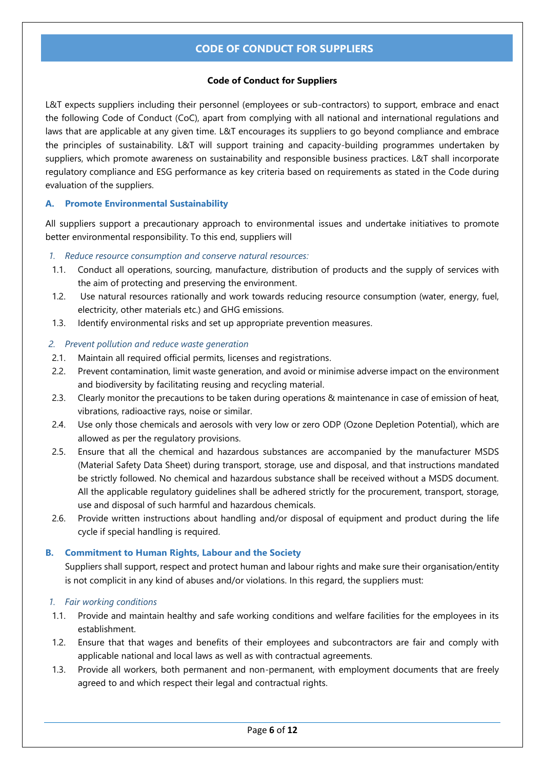## **Code of Conduct for Suppliers**

L&T expects suppliers including their personnel (employees or sub-contractors) to support, embrace and enact the following Code of Conduct (CoC), apart from complying with all national and international regulations and laws that are applicable at any given time. L&T encourages its suppliers to go beyond compliance and embrace the principles of sustainability. L&T will support training and capacity-building programmes undertaken by suppliers, which promote awareness on sustainability and responsible business practices. L&T shall incorporate regulatory compliance and ESG performance as key criteria based on requirements as stated in the Code during evaluation of the suppliers.

## <span id="page-5-0"></span>**A. Promote Environmental Sustainability**

All suppliers support a precautionary approach to environmental issues and undertake initiatives to promote better environmental responsibility. To this end, suppliers will

## <span id="page-5-1"></span>*1. Reduce resource consumption and conserve natural resources:*

- 1.1. Conduct all operations, sourcing, manufacture, distribution of products and the supply of services with the aim of protecting and preserving the environment.
- 1.2. Use natural resources rationally and work towards reducing resource consumption (water, energy, fuel, electricity, other materials etc.) and GHG emissions.
- 1.3. Identify environmental risks and set up appropriate prevention measures.

### <span id="page-5-2"></span>*2. Prevent pollution and reduce waste generation*

- 2.1. Maintain all required official permits, licenses and registrations.
- 2.2. Prevent contamination, limit waste generation, and avoid or minimise adverse impact on the environment and biodiversity by facilitating reusing and recycling material.
- 2.3. Clearly monitor the precautions to be taken during operations & maintenance in case of emission of heat, vibrations, radioactive rays, noise or similar.
- 2.4. Use only those chemicals and aerosols with very low or zero ODP (Ozone Depletion Potential), which are allowed as per the regulatory provisions.
- 2.5. Ensure that all the chemical and hazardous substances are accompanied by the manufacturer MSDS (Material Safety Data Sheet) during transport, storage, use and disposal, and that instructions mandated be strictly followed. No chemical and hazardous substance shall be received without a MSDS document. All the applicable regulatory guidelines shall be adhered strictly for the procurement, transport, storage, use and disposal of such harmful and hazardous chemicals.
- 2.6. Provide written instructions about handling and/or disposal of equipment and product during the life cycle if special handling is required.

## <span id="page-5-3"></span>**B. Commitment to Human Rights, Labour and the Society**

Suppliers shall support, respect and protect human and labour rights and make sure their organisation/entity is not complicit in any kind of abuses and/or violations. In this regard, the suppliers must:

### <span id="page-5-4"></span>*1. Fair working conditions*

- 1.1. Provide and maintain healthy and safe working conditions and welfare facilities for the employees in its establishment.
- 1.2. Ensure that that wages and benefits of their employees and subcontractors are fair and comply with applicable national and local laws as well as with contractual agreements.
- 1.3. Provide all workers, both permanent and non-permanent, with employment documents that are freely agreed to and which respect their legal and contractual rights.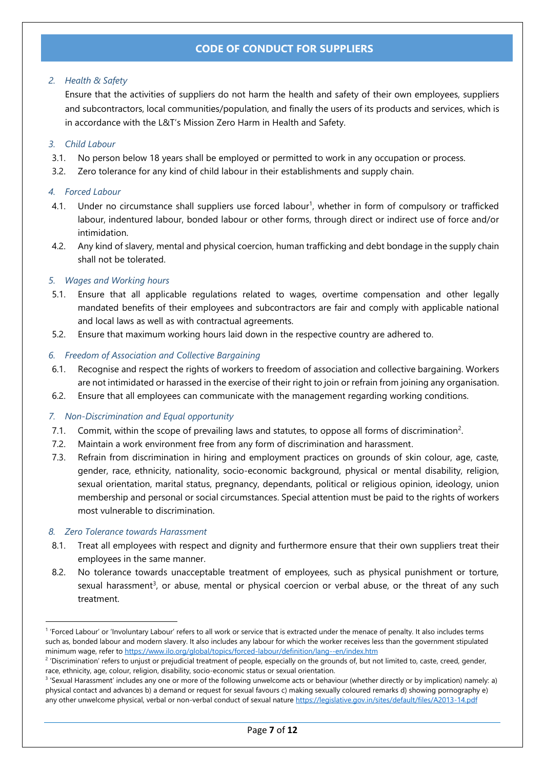## <span id="page-6-0"></span>*2. Health & Safety*

Ensure that the activities of suppliers do not harm the health and safety of their own employees, suppliers and subcontractors, local communities/population, and finally the users of its products and services, which is in accordance with the L&T's Mission Zero Harm in Health and Safety.

## <span id="page-6-1"></span>*3. Child Labour*

- 3.1. No person below 18 years shall be employed or permitted to work in any occupation or process.
- 3.2. Zero tolerance for any kind of child labour in their establishments and supply chain.

## <span id="page-6-2"></span>*4. Forced Labour*

- 4.1. Under no circumstance shall suppliers use forced labour<sup>1</sup>, whether in form of compulsory or trafficked labour, indentured labour, bonded labour or other forms, through direct or indirect use of force and/or intimidation.
- 4.2. Any kind of slavery, mental and physical coercion, human trafficking and debt bondage in the supply chain shall not be tolerated.

## <span id="page-6-3"></span>*5. Wages and Working hours*

- 5.1. Ensure that all applicable regulations related to wages, overtime compensation and other legally mandated benefits of their employees and subcontractors are fair and comply with applicable national and local laws as well as with contractual agreements.
- 5.2. Ensure that maximum working hours laid down in the respective country are adhered to.

## <span id="page-6-4"></span>*6. Freedom of Association and Collective Bargaining*

- 6.1. Recognise and respect the rights of workers to freedom of association and collective bargaining. Workers are not intimidated or harassed in the exercise of their right to join or refrain from joining any organisation.
- 6.2. Ensure that all employees can communicate with the management regarding working conditions.

### <span id="page-6-5"></span>*7. Non-Discrimination and Equal opportunity*

- 7.1. Commit, within the scope of prevailing laws and statutes, to oppose all forms of discrimination<sup>2</sup>.
- 7.2. Maintain a work environment free from any form of discrimination and harassment.
- 7.3. Refrain from discrimination in hiring and employment practices on grounds of skin colour, age, caste, gender, race, ethnicity, nationality, socio‐economic background, physical or mental disability, religion, sexual orientation, marital status, pregnancy, dependants, political or religious opinion, ideology, union membership and personal or social circumstances. Special attention must be paid to the rights of workers most vulnerable to discrimination.

### <span id="page-6-6"></span>*8. Zero Tolerance towards Harassment*

- 8.1. Treat all employees with respect and dignity and furthermore ensure that their own suppliers treat their employees in the same manner.
- 8.2. No tolerance towards unacceptable treatment of employees, such as physical punishment or torture, sexual harassment<sup>3</sup>, or abuse, mental or physical coercion or verbal abuse, or the threat of any such treatment.

<sup>&</sup>lt;sup>1</sup> 'Forced Labour' or 'Involuntary Labour' refers to all work or service that is extracted under the menace of penalty. It also includes terms such as, bonded labour and modern slavery. It also includes any labour for which the worker receives less than the government stipulated minimum wage, refer t[o https://www.ilo.org/global/topics/forced-labour/definition/lang--en/index.htm](https://www.ilo.org/global/topics/forced-labour/definition/lang--en/index.htm)

<sup>&</sup>lt;sup>2</sup> 'Discrimination' refers to unjust or prejudicial treatment of people, especially on the grounds of, but not limited to, caste, creed, gender, race, ethnicity, age, colour, religion, disability, socio-economic status or sexual orientation.

<sup>&</sup>lt;sup>3</sup> 'Sexual Harassment' includes any one or more of the following unwelcome acts or behaviour (whether directly or by implication) namely: a) physical contact and advances b) a demand or request for sexual favours c) making sexually coloured remarks d) showing pornography e) any other unwelcome physical, verbal or non-verbal conduct of sexual nature <https://legislative.gov.in/sites/default/files/A2013-14.pdf>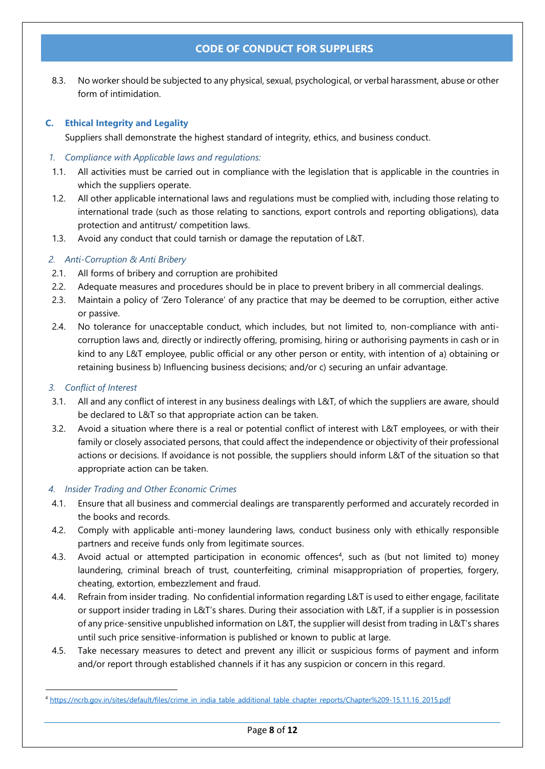8.3. No worker should be subjected to any physical, sexual, psychological, or verbal harassment, abuse or other form of intimidation.

## <span id="page-7-0"></span>**C. Ethical Integrity and Legality**

Suppliers shall demonstrate the highest standard of integrity, ethics, and business conduct.

## <span id="page-7-1"></span>*1. Compliance with Applicable laws and regulations:*

- 1.1. All activities must be carried out in compliance with the legislation that is applicable in the countries in which the suppliers operate.
- 1.2. All other applicable international laws and regulations must be complied with, including those relating to international trade (such as those relating to sanctions, export controls and reporting obligations), data protection and antitrust/ competition laws.
- 1.3. Avoid any conduct that could tarnish or damage the reputation of L&T.

## <span id="page-7-2"></span>*2. Anti-Corruption & Anti Bribery*

- 2.1. All forms of bribery and corruption are prohibited
- 2.2. Adequate measures and procedures should be in place to prevent bribery in all commercial dealings.
- 2.3. Maintain a policy of 'Zero Tolerance' of any practice that may be deemed to be corruption, either active or passive.
- 2.4. No tolerance for unacceptable conduct, which includes, but not limited to, non-compliance with anticorruption laws and, directly or indirectly offering, promising, hiring or authorising payments in cash or in kind to any L&T employee, public official or any other person or entity, with intention of a) obtaining or retaining business b) Influencing business decisions; and/or c) securing an unfair advantage.

## <span id="page-7-3"></span>*3. Conflict of Interest*

- 3.1. All and any conflict of interest in any business dealings with L&T, of which the suppliers are aware, should be declared to L&T so that appropriate action can be taken.
- 3.2. Avoid a situation where there is a real or potential conflict of interest with L&T employees, or with their family or closely associated persons, that could affect the independence or objectivity of their professional actions or decisions. If avoidance is not possible, the suppliers should inform L&T of the situation so that appropriate action can be taken.

### <span id="page-7-4"></span>*4. Insider Trading and Other Economic Crimes*

- 4.1. Ensure that all business and commercial dealings are transparently performed and accurately recorded in the books and records.
- 4.2. Comply with applicable anti-money laundering laws, conduct business only with ethically responsible partners and receive funds only from legitimate sources.
- 4.3. Avoid actual or attempted participation in economic offences<sup>4</sup>, such as (but not limited to) money laundering, criminal breach of trust, counterfeiting, criminal misappropriation of properties, forgery, cheating, extortion, embezzlement and fraud.
- 4.4. Refrain from insider trading. No confidential information regarding L&T is used to either engage, facilitate or support insider trading in L&T's shares. During their association with L&T, if a supplier is in possession of any price-sensitive unpublished information on L&T, the supplier will desist from trading in L&T's shares until such price sensitive-information is published or known to public at large.
- 4.5. Take necessary measures to detect and prevent any illicit or suspicious forms of payment and inform and/or report through established channels if it has any suspicion or concern in this regard.

<sup>4</sup> [https://ncrb.gov.in/sites/default/files/crime\\_in\\_india\\_table\\_additional\\_table\\_chapter\\_reports/Chapter%209-15.11.16\\_2015.pdf](https://ncrb.gov.in/sites/default/files/crime_in_india_table_additional_table_chapter_reports/Chapter%209-15.11.16_2015.pdf)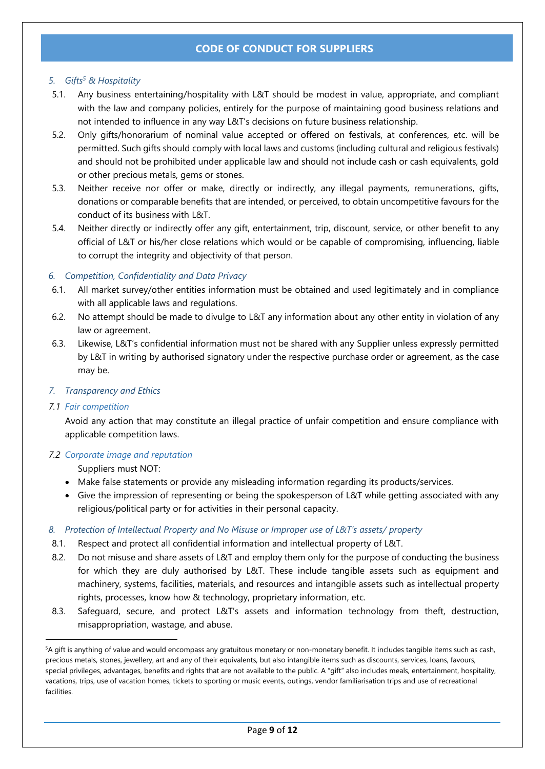## <span id="page-8-0"></span>*5. Gifts<sup>5</sup> & Hospitality*

- 5.1. Any business entertaining/hospitality with L&T should be modest in value, appropriate, and compliant with the law and company policies, entirely for the purpose of maintaining good business relations and not intended to influence in any way L&T's decisions on future business relationship.
- 5.2. Only gifts/honorarium of nominal value accepted or offered on festivals, at conferences, etc. will be permitted. Such gifts should comply with local laws and customs (including cultural and religious festivals) and should not be prohibited under applicable law and should not include cash or cash equivalents, gold or other precious metals, gems or stones.
- 5.3. Neither receive nor offer or make, directly or indirectly, any illegal payments, remunerations, gifts, donations or comparable benefits that are intended, or perceived, to obtain uncompetitive favours for the conduct of its business with L&T.
- 5.4. Neither directly or indirectly offer any gift, entertainment, trip, discount, service, or other benefit to any official of L&T or his/her close relations which would or be capable of compromising, influencing, liable to corrupt the integrity and objectivity of that person.

## <span id="page-8-1"></span>*6. Competition, Confidentiality and Data Privacy*

- 6.1. All market survey/other entities information must be obtained and used legitimately and in compliance with all applicable laws and regulations.
- 6.2. No attempt should be made to divulge to L&T any information about any other entity in violation of any law or agreement.
- 6.3. Likewise, L&T's confidential information must not be shared with any Supplier unless expressly permitted by L&T in writing by authorised signatory under the respective purchase order or agreement, as the case may be.

### <span id="page-8-2"></span>*7. Transparency and Ethics*

### *7.1 Fair competition*

Avoid any action that may constitute an illegal practice of unfair competition and ensure compliance with applicable competition laws.

### *7.2 Corporate image and reputation*

Suppliers must NOT:

- Make false statements or provide any misleading information regarding its products/services.
- Give the impression of representing or being the spokesperson of L&T while getting associated with any religious/political party or for activities in their personal capacity.

## <span id="page-8-3"></span>*8. Protection of Intellectual Property and No Misuse or Improper use of L&T's assets/ property*

- 8.1. Respect and protect all confidential information and intellectual property of L&T.
- 8.2. Do not misuse and share assets of L&T and employ them only for the purpose of conducting the business for which they are duly authorised by L&T. These include tangible assets such as equipment and machinery, systems, facilities, materials, and resources and intangible assets such as intellectual property rights, processes, know how & technology, proprietary information, etc.
- 8.3. Safeguard, secure, and protect L&T's assets and information technology from theft, destruction, misappropriation, wastage, and abuse.

<sup>5</sup>A gift is anything of value and would encompass any gratuitous monetary or non-monetary benefit. It includes tangible items such as cash, precious metals, stones, jewellery, art and any of their equivalents, but also intangible items such as discounts, services, loans, favours, special privileges, advantages, benefits and rights that are not available to the public. A "gift" also includes meals, entertainment, hospitality, vacations, trips, use of vacation homes, tickets to sporting or music events, outings, vendor familiarisation trips and use of recreational facilities.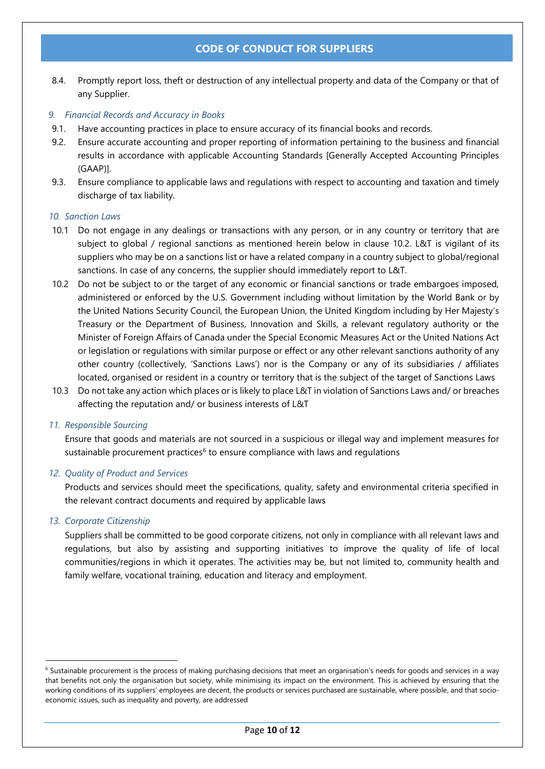8.4. Promptly report loss, theft or destruction of any intellectual property and data of the Company or that of any Supplier.

### <span id="page-9-0"></span>*9. Financial Records and Accuracy in Books*

- 9.1. Have accounting practices in place to ensure accuracy of its financial books and records.
- 9.2. Ensure accurate accounting and proper reporting of information pertaining to the business and financial results in accordance with applicable Accounting Standards [Generally Accepted Accounting Principles (GAAP)].
- 9.3. Ensure compliance to applicable laws and regulations with respect to accounting and taxation and timely discharge of tax liability.

### <span id="page-9-1"></span>*10. Sanction Laws*

- 10.1 Do not engage in any dealings or transactions with any person, or in any country or territory that are subject to global / regional sanctions as mentioned herein below in clause 10.2. L&T is vigilant of its suppliers who may be on a sanctions list or have a related company in a country subject to global/regional sanctions. In case of any concerns, the supplier should immediately report to L&T.
- 10.2 Do not be subject to or the target of any economic or financial sanctions or trade embargoes imposed, administered or enforced by the U.S. Government including without limitation by the World Bank or by the United Nations Security Council, the European Union, the United Kingdom including by Her Majesty's Treasury or the Department of Business, Innovation and Skills, a relevant regulatory authority or the Minister of Foreign Affairs of Canada under the Special Economic Measures Act or the United Nations Act or legislation or regulations with similar purpose or effect or any other relevant sanctions authority of any other country (collectively, 'Sanctions Laws') nor is the Company or any of its subsidiaries / affiliates located, organised or resident in a country or territory that is the subject of the target of Sanctions Laws
- 10.3 Do not take any action which places or is likely to place L&T in violation of Sanctions Laws and/ or breaches affecting the reputation and/ or business interests of L&T

### <span id="page-9-2"></span>*11. Responsible Sourcing*

Ensure that goods and materials are not sourced in a suspicious or illegal way and implement measures for sustainable procurement practices<sup>6</sup> to ensure compliance with laws and regulations

### <span id="page-9-3"></span>*12. Quality of Product and Services*

Products and services should meet the specifications, quality, safety and environmental criteria specified in the relevant contract documents and required by applicable laws

### <span id="page-9-4"></span>*13. Corporate Citizenship*

Suppliers shall be committed to be good corporate citizens, not only in compliance with all relevant laws and regulations, but also by assisting and supporting initiatives to improve the quality of life of local communities/regions in which it operates. The activities may be, but not limited to, community health and family welfare, vocational training, education and literacy and employment.

<sup>&</sup>lt;sup>6</sup> Sustainable procurement is the process of making purchasing decisions that meet an organisation's needs for goods and services in a way that benefits not only the organisation but society, while minimising its impact on the environment. This is achieved by ensuring that the working conditions of its suppliers' employees are decent, the products or services purchased are sustainable, where possible, and that socioeconomic issues, such as inequality and poverty, are addressed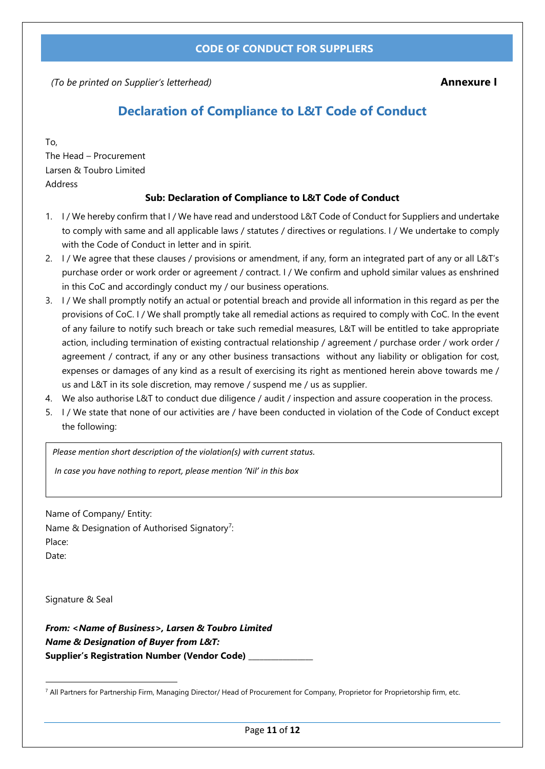<span id="page-10-0"></span> *(To be printed on Supplier's letterhead)* **Annexure I**

## **Declaration of Compliance to L&T Code of Conduct**

To,

The Head – Procurement Larsen & Toubro Limited Address

## **Sub: Declaration of Compliance to L&T Code of Conduct**

- 1. I / We hereby confirm that I / We have read and understood L&T Code of Conduct for Suppliers and undertake to comply with same and all applicable laws / statutes / directives or regulations. I / We undertake to comply with the Code of Conduct in letter and in spirit.
- 2. I / We agree that these clauses / provisions or amendment, if any, form an integrated part of any or all L&T's purchase order or work order or agreement / contract. I / We confirm and uphold similar values as enshrined in this CoC and accordingly conduct my / our business operations.
- 3. I / We shall promptly notify an actual or potential breach and provide all information in this regard as per the provisions of CoC. I / We shall promptly take all remedial actions as required to comply with CoC. In the event of any failure to notify such breach or take such remedial measures, L&T will be entitled to take appropriate action, including termination of existing contractual relationship / agreement / purchase order / work order / agreement / contract, if any or any other business transactions without any liability or obligation for cost, expenses or damages of any kind as a result of exercising its right as mentioned herein above towards me / us and L&T in its sole discretion, may remove / suspend me / us as supplier.
- 4. We also authorise L&T to conduct due diligence / audit / inspection and assure cooperation in the process.
- 5. I / We state that none of our activities are / have been conducted in violation of the Code of Conduct except the following:

*Please mention short description of the violation(s) with current status.*

*In case you have nothing to report, please mention 'Nil' in this box*

Name of Company/ Entity:

Name & Designation of Authorised Signatory<sup>7</sup>: Place: Date:

Signature & Seal

*From: <Name of Business>, Larsen & Toubro Limited Name & Designation of Buyer from L&T:* **Supplier's Registration Number (Vendor Code) \_\_\_\_\_\_\_\_\_\_\_\_\_\_\_\_\_**

<sup>7</sup> All Partners for Partnership Firm, Managing Director/ Head of Procurement for Company, Proprietor for Proprietorship firm, etc.